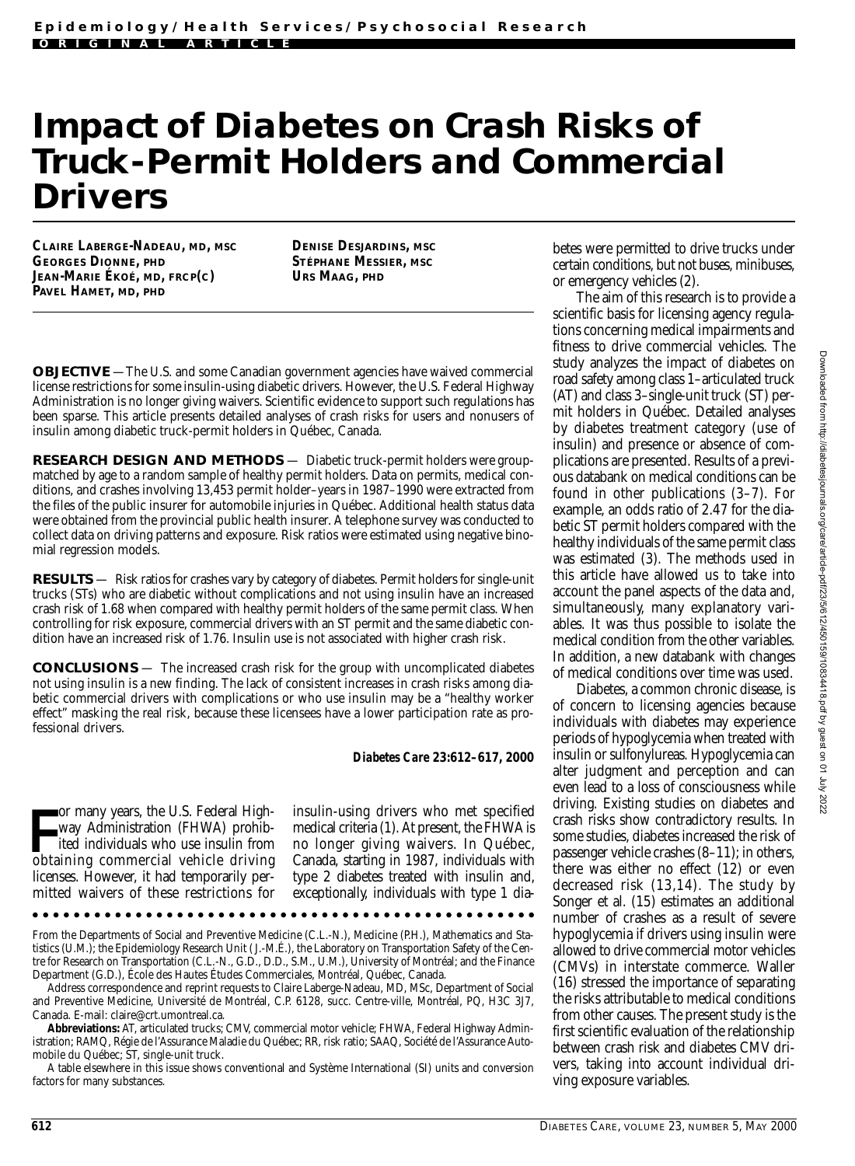# **Impact of Diabetes on Crash Risks of Truck-Permit Holders and Commercial Drivers**

**CLAIRE LABERGE-NADEAU, MD, MSC GEORGES DIONNE, PHD JEAN-MARIE ÉKOÉ, MD, FRCP(C) PAVEL HAMET, MD, PHD**

**DENISE DESJARDINS, MSC STÉPHANE MESSIER, MSC URS MAAG, PHD**

**OBJECTIVE** —The U.S. and some Canadian government agencies have waived commercial license restrictions for some insulin-using diabetic drivers. However, the U.S. Federal Highway Administration is no longer giving waivers. Scientific evidence to support such regulations has been sparse. This article presents detailed analyses of crash risks for users and nonusers of insulin among diabetic truck-permit holders in Québec, Canada.

**RESEARCH DESIGN AND METHODS** — Diabetic truck-permit holders were groupmatched by age to a random sample of healthy permit holders. Data on permits, medical conditions, and crashes involving 13,453 permit holder–years in 1987–1990 were extracted from the files of the public insurer for automobile injuries in Québec. Additional health status data were obtained from the provincial public health insurer. A telephone survey was conducted to collect data on driving patterns and exposure. Risk ratios were estimated using negative binomial regression models.

**RESULTS** — Risk ratios for crashes vary by category of diabetes. Permit holders for single-unit trucks (STs) who are diabetic without complications and not using insulin have an increased crash risk of 1.68 when compared with healthy permit holders of the same permit class. When controlling for risk exposure, commercial drivers with an ST permit and the same diabetic condition have an increased risk of 1.76. Insulin use is not associated with higher crash risk.

**CONCLUSIONS** — The increased crash risk for the group with uncomplicated diabetes not using insulin is a new finding. The lack of consistent increases in crash risks among diabetic commercial drivers with complications or who use insulin may be a "healthy worker effect" masking the real risk, because these licensees have a lower participation rate as professional drivers.

*Diabetes Care* **23:612–617, 2000**

**FR** or many years, the U.S. Federal High-<br>
way Administration (FHWA) prohib-<br>
ited individuals who use insulin from<br>
obtaining commercial vehicle driving or many years, the U.S. Federal Highway Administration (FHWA) prohibited individuals who use insulin from licenses. However, it had temporarily permitted waivers of these restrictions for

insulin-using drivers who met specified medical criteria (1). At present, the FHWA is no longer giving waivers. In Québec, Canada, starting in 1987, individuals with type 2 diabetes treated with insulin and, exceptionally, individuals with type 1 dia-

From the Departments of Social and Preventive Medicine (C.L.-N.), Medicine (P.H.), Mathematics and Statistics (U.M.); the Epidemiology Research Unit ( J.-M.É.), the Laboratory on Transportation Safety of the Centre for Research on Transportation (C.L.-N., G.D., D.D., S.M., U.M.), University of Montréal; and the Finance Department (G.D.), École des Hautes Études Commerciales, Montréal, Québec, Canada.

Address correspondence and reprint requests to Claire Laberge-Nadeau, MD, MSc, Department of Social and Preventive Medicine, Université de Montréal, C.P. 6128, succ. Centre-ville, Montréal, PQ, H3C 3J7, Canada. E-mail: claire@crt.umontreal.ca.

**Abbreviations:** AT, articulated trucks; CMV, commercial motor vehicle; FHWA, Federal Highway Administration; RAMQ, Régie de l'Assurance Maladie du Québec; RR, risk ratio; SAAQ, Société de l'Assurance Automobile du Québec; ST, single-unit truck.

A table elsewhere in this issue shows conventional and Système International (SI) units and conversion factors for many substances.

betes were permitted to drive trucks under certain conditions, but not buses, minibuses, or emergency vehicles (2).

The aim of this research is to provide a scientific basis for licensing agency regulations concerning medical impairments and fitness to drive commercial vehicles. The study analyzes the impact of diabetes on road safety among class 1–articulated truck (AT) and class 3–single-unit truck (ST) permit holders in Québec. Detailed analyses by diabetes treatment category (use of insulin) and presence or absence of complications are presented. Results of a previous databank on medical conditions can be found in other publications (3–7). For example, an odds ratio of 2.47 for the diabetic ST permit holders compared with the healthy individuals of the same permit class was estimated (3). The methods used in this article have allowed us to take into account the panel aspects of the data and, simultaneously, many explanatory variables. It was thus possible to isolate the medical condition from the other variables. In addition, a new databank with changes of medical conditions over time was used.

Diabetes, a common chronic disease, is of concern to licensing agencies because individuals with diabetes may experience periods of hypoglycemia when treated with insulin or sulfonylureas. Hypoglycemia can alter judgment and perception and can even lead to a loss of consciousness while driving. Existing studies on diabetes and crash risks show contradictory results. In some studies, diabetes increased the risk of passenger vehicle crashes (8–11); in others, there was either no effect (12) or even decreased risk (13,14). The study by Songer et al. (15) estimates an additional number of crashes as a result of severe hypoglycemia if drivers using insulin were allowed to drive commercial motor vehicles (CMVs) in interstate commerce. Waller (16) stressed the importance of separating the risks attributable to medical conditions from other causes. The present study is the first scientific evaluation of the relationship between crash risk and diabetes CMV drivers, taking into account individual driving exposure variables.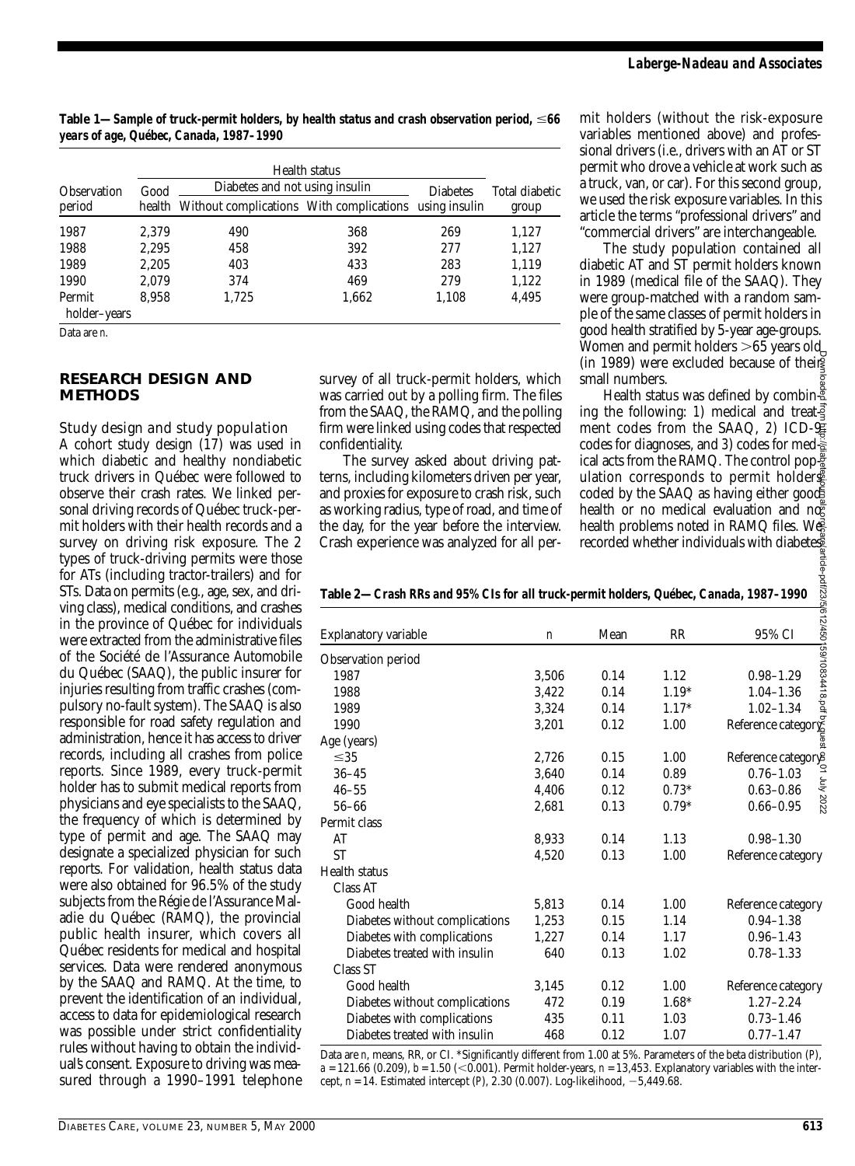**Table 1—***Sample of truck-permit holders, by health status and crash observation period, 66 years of age, Québec, Canada, 1987–1990*

| Observation            | Good  | Total diabetic                                                |       |                 |       |
|------------------------|-------|---------------------------------------------------------------|-------|-----------------|-------|
| period                 |       | health Without complications With complications using insulin |       | <b>Diabetes</b> | group |
| 1987                   | 2.379 | 490                                                           | 368   | 269             | 1,127 |
| 1988                   | 2,295 | 458                                                           | 392   | 277             | 1,127 |
| 1989                   | 2,205 | 403                                                           | 433   | 283             | 1,119 |
| 1990                   | 2,079 | 374                                                           | 469   | 279             | 1,122 |
| Permit<br>holder-years | 8,958 | 1,725                                                         | 1,662 | 1,108           | 4,495 |

Data are *n*.

### **RESEARCH DESIGN AND METHODS**

#### Study design and study population

A cohort study design (17) was used in which diabetic and healthy nondiabetic truck drivers in Québec were followed to observe their crash rates. We linked personal driving records of Québec truck-permit holders with their health records and a survey on driving risk exposure. The 2 types of truck-driving permits were those for ATs (including tractor-trailers) and for STs. Data on permits (e.g., age, sex, and driving class), medical conditions, and crashes in the province of Québec for individuals were extracted from the administrative files of the Société de l'Assurance Automobile du Québec (SAAQ), the public insurer for injuries resulting from traffic crashes (compulsory no-fault system). The SAAQ is also responsible for road safety regulation and administration, hence it has access to driver records, including all crashes from police reports. Since 1989, every truck-permit holder has to submit medical reports from physicians and eye specialists to the SAAQ, the frequency of which is determined by type of permit and age. The SAAQ may designate a specialized physician for such reports. For validation, health status data were also obtained for 96.5% of the study subjects from the Régie de l'Assurance Maladie du Québec (RAMQ), the provincial public health insurer, which covers all Québec residents for medical and hospital services. Data were rendered anonymous by the SAAQ and RAMQ. At the time, to prevent the identification of an individual, access to data for epidemiological research was possible under strict confidentiality rules without having to obtain the individual's consent. Exposure to driving was measured through a 1990–1991 telephone mit holders (without the risk-exposure variables mentioned above) and professional drivers (i.e., drivers with an AT or ST permit who drove a vehicle at work such as a truck, van, or car). For this second group, we used the risk exposure variables. In this article the terms "professional drivers" and "commercial drivers" are interchangeable.

The study population contained all diabetic AT and ST permit holders known in 1989 (medical file of the SAAQ). They were group-matched with a random sample of the same classes of permit holders in good health stratified by 5-year age-groups. Women and permit holders >65 years old (in 1989) were excluded because of their small numbers.

**Table 2—***Crash RRs and 95% CIs for all truck-permit holders, Québec, Canada, 1987–1990*

| survey of all truck-permit holders, which<br>was carried out by a polling firm. The files<br>from the SAAQ, the RAMQ, and the polling<br>firm were linked using codes that respected<br>confidentiality.<br>The survey asked about driving pat-<br>terns, including kilometers driven per year,<br>and proxies for exposure to crash risk, such<br>as working radius, type of road, and time of<br>the day, for the year before the interview.<br>Crash experience was analyzed for all per-<br>Table 2-Crash RRs and 95% CIs for all truck-permit holders, Québec, Canada, 1987-1990 |       | (in 1989) were excluded because of their<br>small numbers.<br>Health status was defined by combin-<br>ing the following: 1) medical and treat $\frac{3}{5}$<br>ment codes from the SAAQ, 2) ICD-9<br>codes for diagnoses, and 3) codes for med $\frac{5}{2}$<br>ical acts from the RAMQ. The control pop <sup>2</sup><br>ulation corresponds to permit holders<br>coded by the SAAQ as having either good<br>health or no medical evaluation and $n\bar{q}$<br>health problems noted in RAMQ files. We<br>recorded whether individuals with diabetes |                 |                                 |  |
|---------------------------------------------------------------------------------------------------------------------------------------------------------------------------------------------------------------------------------------------------------------------------------------------------------------------------------------------------------------------------------------------------------------------------------------------------------------------------------------------------------------------------------------------------------------------------------------|-------|------------------------------------------------------------------------------------------------------------------------------------------------------------------------------------------------------------------------------------------------------------------------------------------------------------------------------------------------------------------------------------------------------------------------------------------------------------------------------------------------------------------------------------------------------|-----------------|---------------------------------|--|
| Explanatory variable                                                                                                                                                                                                                                                                                                                                                                                                                                                                                                                                                                  | n     | Mean                                                                                                                                                                                                                                                                                                                                                                                                                                                                                                                                                 | RR              | pdf/23/5/612/4501<br>95% CI     |  |
|                                                                                                                                                                                                                                                                                                                                                                                                                                                                                                                                                                                       |       |                                                                                                                                                                                                                                                                                                                                                                                                                                                                                                                                                      |                 |                                 |  |
| Observation period<br>1987                                                                                                                                                                                                                                                                                                                                                                                                                                                                                                                                                            | 3,506 | 0.14                                                                                                                                                                                                                                                                                                                                                                                                                                                                                                                                                 |                 | 159/10834418.pdf                |  |
| 1988                                                                                                                                                                                                                                                                                                                                                                                                                                                                                                                                                                                  | 3,422 | 0.14                                                                                                                                                                                                                                                                                                                                                                                                                                                                                                                                                 | 1.12<br>$1.19*$ | $0.98 - 1.29$<br>$1.04 - 1.36$  |  |
| 1989                                                                                                                                                                                                                                                                                                                                                                                                                                                                                                                                                                                  | 3,324 | 0.14                                                                                                                                                                                                                                                                                                                                                                                                                                                                                                                                                 | $1.17*$         | $1.02 - 1.34$                   |  |
| 1990                                                                                                                                                                                                                                                                                                                                                                                                                                                                                                                                                                                  | 3,201 | 0.12                                                                                                                                                                                                                                                                                                                                                                                                                                                                                                                                                 |                 | Reference category              |  |
|                                                                                                                                                                                                                                                                                                                                                                                                                                                                                                                                                                                       |       |                                                                                                                                                                                                                                                                                                                                                                                                                                                                                                                                                      | 1.00            |                                 |  |
| Age (years)                                                                                                                                                                                                                                                                                                                                                                                                                                                                                                                                                                           |       |                                                                                                                                                                                                                                                                                                                                                                                                                                                                                                                                                      |                 |                                 |  |
| $\leq 35$                                                                                                                                                                                                                                                                                                                                                                                                                                                                                                                                                                             | 2,726 | 0.15                                                                                                                                                                                                                                                                                                                                                                                                                                                                                                                                                 | 1.00            | Reference category <sup>8</sup> |  |
| $36 - 45$                                                                                                                                                                                                                                                                                                                                                                                                                                                                                                                                                                             | 3,640 | 0.14                                                                                                                                                                                                                                                                                                                                                                                                                                                                                                                                                 | 0.89            | $0.76 - 1.03$<br>γω             |  |
| $46 - 55$                                                                                                                                                                                                                                                                                                                                                                                                                                                                                                                                                                             | 4,406 | 0.12                                                                                                                                                                                                                                                                                                                                                                                                                                                                                                                                                 | $0.73*$         | $0.63 - 0.86$<br>2022           |  |
| $56 - 66$                                                                                                                                                                                                                                                                                                                                                                                                                                                                                                                                                                             | 2,681 | 0.13                                                                                                                                                                                                                                                                                                                                                                                                                                                                                                                                                 | $0.79*$         | $0.66 - 0.95$                   |  |
| Permit class                                                                                                                                                                                                                                                                                                                                                                                                                                                                                                                                                                          |       |                                                                                                                                                                                                                                                                                                                                                                                                                                                                                                                                                      |                 |                                 |  |
| AT                                                                                                                                                                                                                                                                                                                                                                                                                                                                                                                                                                                    | 8,933 | 0.14                                                                                                                                                                                                                                                                                                                                                                                                                                                                                                                                                 | 1.13            | $0.98 - 1.30$                   |  |
| <b>ST</b>                                                                                                                                                                                                                                                                                                                                                                                                                                                                                                                                                                             | 4,520 | 0.13                                                                                                                                                                                                                                                                                                                                                                                                                                                                                                                                                 | 1.00            | Reference category              |  |
| Health status                                                                                                                                                                                                                                                                                                                                                                                                                                                                                                                                                                         |       |                                                                                                                                                                                                                                                                                                                                                                                                                                                                                                                                                      |                 |                                 |  |
| Class AT<br>Good health                                                                                                                                                                                                                                                                                                                                                                                                                                                                                                                                                               |       |                                                                                                                                                                                                                                                                                                                                                                                                                                                                                                                                                      |                 |                                 |  |
|                                                                                                                                                                                                                                                                                                                                                                                                                                                                                                                                                                                       | 5,813 | 0.14                                                                                                                                                                                                                                                                                                                                                                                                                                                                                                                                                 | 1.00            | Reference category              |  |
| Diabetes without complications                                                                                                                                                                                                                                                                                                                                                                                                                                                                                                                                                        | 1,253 | 0.15                                                                                                                                                                                                                                                                                                                                                                                                                                                                                                                                                 | 1.14            | $0.94 - 1.38$                   |  |
| Diabetes with complications                                                                                                                                                                                                                                                                                                                                                                                                                                                                                                                                                           | 1,227 | 0.14                                                                                                                                                                                                                                                                                                                                                                                                                                                                                                                                                 | 1.17            | $0.96 - 1.43$                   |  |
| Diabetes treated with insulin                                                                                                                                                                                                                                                                                                                                                                                                                                                                                                                                                         | 640   | 0.13                                                                                                                                                                                                                                                                                                                                                                                                                                                                                                                                                 | 1.02            | $0.78 - 1.33$                   |  |
| Class ST                                                                                                                                                                                                                                                                                                                                                                                                                                                                                                                                                                              |       |                                                                                                                                                                                                                                                                                                                                                                                                                                                                                                                                                      |                 |                                 |  |
| Good health                                                                                                                                                                                                                                                                                                                                                                                                                                                                                                                                                                           | 3,145 | 0.12                                                                                                                                                                                                                                                                                                                                                                                                                                                                                                                                                 | 1.00            | Reference category              |  |
| Diabetes without complications                                                                                                                                                                                                                                                                                                                                                                                                                                                                                                                                                        | 472   | 0.19                                                                                                                                                                                                                                                                                                                                                                                                                                                                                                                                                 | 1.68*           | $1.27 - 2.24$                   |  |
| Diabetes with complications                                                                                                                                                                                                                                                                                                                                                                                                                                                                                                                                                           | 435   | 0.11                                                                                                                                                                                                                                                                                                                                                                                                                                                                                                                                                 | 1.03            | $0.73 - 1.46$                   |  |
| Diabetes treated with insulin                                                                                                                                                                                                                                                                                                                                                                                                                                                                                                                                                         | 468   | 0.12                                                                                                                                                                                                                                                                                                                                                                                                                                                                                                                                                 | 1.07            | $0.77 - 1.47$                   |  |
| Data are n, means, RR, or CI. *Significantly different from 1.00 at 5%. Parameters of the beta distribution (P),<br>$a = 121.66$ (0.209), $b = 1.50$ (<0.001). Permit holder-years, $n = 13.453$ . Explanatory variables with the inter-<br>cept, $n = 14$ . Estimated intercept (P), 2.30 (0.007). Log-likelihood, $-5,449.68$ .                                                                                                                                                                                                                                                     |       |                                                                                                                                                                                                                                                                                                                                                                                                                                                                                                                                                      |                 |                                 |  |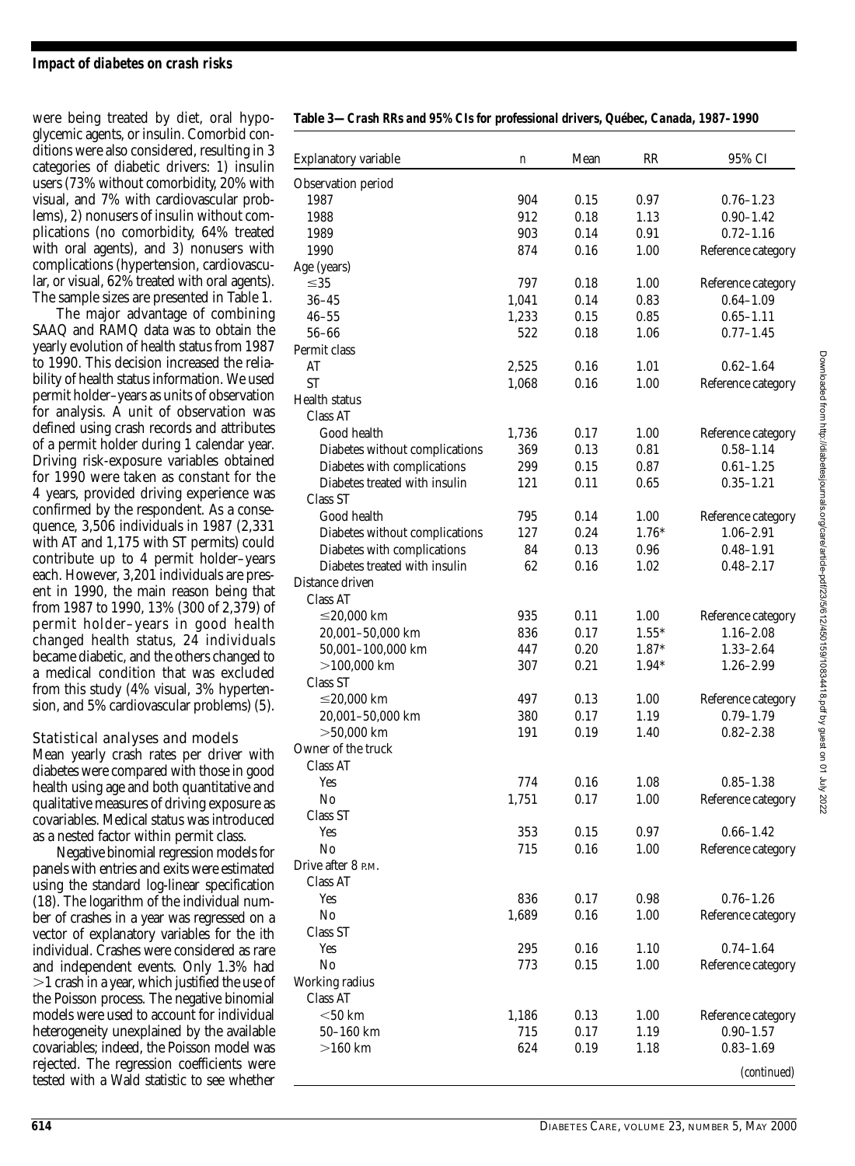# *Impact of diabetes on crash risks*

were being treated by diet, oral hypoglycemic agents, or insulin. Comorbid conditions were also considered, resulting in 3 categories of diabetic drivers: *1*) insulin users (73% without comorbidity, 20% with visual, and 7% with cardiovascular problems), *2*) nonusers of insulin without complications (no comorbidity, 64% treated with oral agents), and *3*) nonusers with complications (hypertension, cardiovascular, or visual, 62% treated with oral agents). The sample sizes are presented in Table 1.

The major advantage of combining SAAQ and RAMQ data was to obtain the yearly evolution of health status from 1987 to 1990. This decision increased the reliability of health status information. We used permit holder–years as units of observation for analysis. A unit of observation was defined using crash records and attributes of a permit holder during 1 calendar year. Driving risk-exposure variables obtained for 1990 were taken as constant for the 4 years, provided driving experience was confirmed by the respondent. As a consequence, 3,506 individuals in 1987 (2,331 with AT and 1,175 with ST permits) could contribute up to 4 permit holder–years each. However, 3,201 individuals are present in 1990, the main reason being that from 1987 to 1990, 13% (300 of 2,379) of permit holder–years in good health changed health status, 24 individuals became diabetic, and the others changed to a medical condition that was excluded from this study (4% visual, 3% hypertension, and 5% cardiovascular problems) (5).

## Statistical analyses and models

Mean yearly crash rates per driver with diabetes were compared with those in good health using age and both quantitative and qualitative measures of driving exposure as covariables. Medical status was introduced as a nested factor within permit class.

Negative binomial regression models for panels with entries and exits were estimated using the standard log-linear specification (18). The logarithm of the individual number of crashes in a year was regressed on a vector of explanatory variables for the *i*th individual. Crashes were considered as rare and independent events. Only 1.3% had -1 crash in a year, which justified the use of the Poisson process. The negative binomial models were used to account for individual heterogeneity unexplained by the available covariables; indeed, the Poisson model was rejected. The regression coefficients were tested with a Wald statistic to see whether

| Explanatory variable           | n     | Mean | RR      | 95% CI             |
|--------------------------------|-------|------|---------|--------------------|
| Observation period             |       |      |         |                    |
| 1987                           | 904   | 0.15 | 0.97    | $0.76 - 1.23$      |
| 1988                           | 912   | 0.18 | 1.13    | $0.90 - 1.42$      |
| 1989                           | 903   | 0.14 | 0.91    | $0.72 - 1.16$      |
| 1990                           | 874   | 0.16 | 1.00    | Reference category |
| Age (years)                    |       |      |         |                    |
| $\leq 35$                      | 797   | 0.18 | 1.00    | Reference category |
| $36 - 45$                      | 1,041 | 0.14 | 0.83    | $0.64 - 1.09$      |
| $46 - 55$                      | 1,233 | 0.15 | 0.85    | $0.65 - 1.11$      |
| $56 - 66$                      | 522   | 0.18 | 1.06    | $0.77 - 1.45$      |
| Permit class                   |       |      |         |                    |
| AT                             | 2,525 | 0.16 | 1.01    | $0.62 - 1.64$      |
| <b>ST</b>                      | 1,068 | 0.16 | 1.00    | Reference category |
| Health status                  |       |      |         |                    |
| Class AT                       |       |      |         |                    |
| Good health                    | 1,736 | 0.17 | 1.00    | Reference category |
| Diabetes without complications | 369   | 0.13 | 0.81    | $0.58 - 1.14$      |
| Diabetes with complications    | 299   | 0.15 | 0.87    | $0.61 - 1.25$      |
| Diabetes treated with insulin  | 121   | 0.11 | 0.65    | $0.35 - 1.21$      |
| Class ST                       |       |      |         |                    |
| Good health                    | 795   | 0.14 | 1.00    | Reference category |
| Diabetes without complications | 127   | 0.24 | $1.76*$ | $1.06 - 2.91$      |
| Diabetes with complications    | 84    | 0.13 | 0.96    | $0.48 - 1.91$      |
| Diabetes treated with insulin  | 62    | 0.16 | 1.02    | $0.48 - 2.17$      |
| Distance driven                |       |      |         |                    |
| Class AT                       |       |      |         |                    |
| $≤$ 20,000 km                  | 935   | 0.11 | 1.00    | Reference category |
| 20,001-50,000 km               | 836   | 0.17 | $1.55*$ | $1.16 - 2.08$      |
| 50,001-100,000 km              | 447   | 0.20 | 1.87*   | 1.33-2.64          |
| $>100,000$ km                  | 307   | 0.21 | 1.94*   | $1.26 - 2.99$      |
| Class ST                       |       |      |         |                    |
| $\leq$ 20,000 km               | 497   | 0.13 | 1.00    | Reference category |
| 20,001-50,000 km               | 380   | 0.17 | 1.19    | $0.79 - 1.79$      |
| $>50,000$ km                   | 191   | 0.19 | 1.40    | $0.82 - 2.38$      |
| Owner of the truck             |       |      |         |                    |
| Class AT                       |       |      |         |                    |
| Yes                            | 774   | 0.16 | 1.08    | $0.85 - 1.38$      |
| No                             | 1,751 | 0.17 | 1.00    | Reference category |
| Class ST                       |       |      |         |                    |
| Yes                            | 353   | 0.15 | 0.97    | $0.66 - 1.42$      |
| No                             | 715   | 0.16 | 1.00    | Reference category |
| Drive after 8 P.M.             |       |      |         |                    |
| Class AT                       |       |      |         |                    |
| Yes                            | 836   | 0.17 | 0.98    | $0.76 - 1.26$      |
| N <sub>0</sub>                 | 1,689 | 0.16 | 1.00    | Reference category |
| Class ST                       |       |      |         |                    |
| Yes                            | 295   | 0.16 | 1.10    | $0.74 - 1.64$      |
| No                             | 773   | 0.15 | 1.00    | Reference category |
| Working radius                 |       |      |         |                    |
| Class AT                       |       |      |         |                    |
| $<$ 50 km                      | 1,186 | 0.13 | 1.00    | Reference category |
| 50-160 km                      | 715   | 0.17 | 1.19    | $0.90 - 1.57$      |
| $>160$ km                      | 624   | 0.19 | 1.18    | $0.83 - 1.69$      |
|                                |       |      |         |                    |
|                                |       |      |         | (continued)        |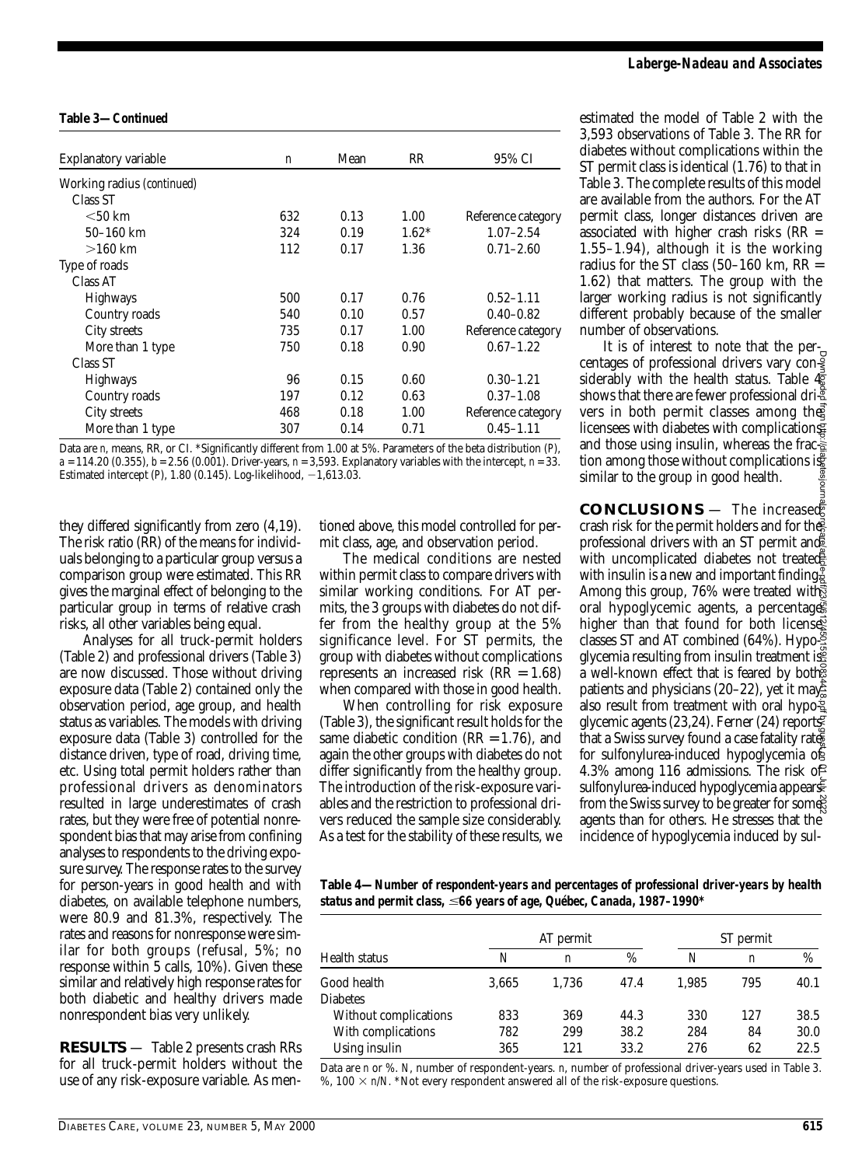#### **Table 3—***Continued*

| Explanatory variable       | n   | Mean | <b>RR</b> | 95% CI             |
|----------------------------|-----|------|-----------|--------------------|
| Working radius (continued) |     |      |           |                    |
| Class ST                   |     |      |           |                    |
| $< 50 \text{ km}$          | 632 | 0.13 | 1.00      | Reference category |
| 50-160 km                  | 324 | 0.19 | $1.62*$   | $1.07 - 2.54$      |
| $>160$ km                  | 112 | 0.17 | 1.36      | $0.71 - 2.60$      |
| Type of roads              |     |      |           |                    |
| Class AT                   |     |      |           |                    |
| <b>Highways</b>            | 500 | 0.17 | 0.76      | $0.52 - 1.11$      |
| Country roads              | 540 | 0.10 | 0.57      | $0.40 - 0.82$      |
| City streets               | 735 | 0.17 | 1.00      | Reference category |
| More than 1 type           | 750 | 0.18 | 0.90      | $0.67 - 1.22$      |
| Class ST                   |     |      |           |                    |
| Highways                   | 96  | 0.15 | 0.60      | $0.30 - 1.21$      |
| Country roads              | 197 | 0.12 | 0.63      | $0.37 - 1.08$      |
| City streets               | 468 | 0.18 | 1.00      | Reference category |
| More than 1 type           | 307 | 0.14 | 0.71      | $0.45 - 1.11$      |

Data are *n*, means, RR, or CI. \*Significantly different from 1.00 at 5%. Parameters of the beta distribution (*P*), *a* = 114.20 (0.355), *b* = 2.56 (0.001). Driver-years, *n* = 3,593. Explanatory variables with the intercept, *n* = 33. Estimated intercept (*P*), 1.80 (0.145). Log-likelihood, -1,613.03.

they differed significantly from zero (4,19). The risk ratio (RR) of the means for individuals belonging to a particular group versus a comparison group were estimated. This RR gives the marginal effect of belonging to the particular group in terms of relative crash risks, all other variables being equal.

Analyses for all truck-permit holders (Table 2) and professional drivers (Table 3) are now discussed. Those without driving exposure data (Table 2) contained only the observation period, age group, and health status as variables. The models with driving exposure data (Table 3) controlled for the distance driven, type of road, driving time, etc. Using total permit holders rather than professional drivers as denominators resulted in large underestimates of crash rates, but they were free of potential nonrespondent bias that may arise from confining analyses to respondents to the driving exposure survey. The response rates to the survey for person-years in good health and with diabetes, on available telephone numbers, were 80.9 and 81.3%, respectively. The rates and reasons for nonresponse were similar for both groups (refusal, 5%; no response within 5 calls, 10%). Given these similar and relatively high response rates for both diabetic and healthy drivers made nonrespondent bias very unlikely.

**RESULTS** — Table 2 presents crash RRs for all truck-permit holders without the use of any risk-exposure variable. As mentioned above, this model controlled for permit class, age, and observation period.

The medical conditions are nested within permit class to compare drivers with similar working conditions. For AT permits, the 3 groups with diabetes do not differ from the healthy group at the 5% significance level. For ST permits, the group with diabetes without complications represents an increased risk  $(RR = 1.68)$ when compared with those in good health.

When controlling for risk exposure (Table 3), the significant result holds for the same diabetic condition  $(RR = 1.76)$ , and again the other groups with diabetes do not differ significantly from the healthy group. The introduction of the risk-exposure variables and the restriction to professional drivers reduced the sample size considerably. As a test for the stability of these results, we estimated the model of Table 2 with the 3,593 observations of Table 3. The RR for diabetes without complications within the ST permit class is identical (1.76) to that in Table 3. The complete results of this model are available from the authors. For the AT permit class, longer distances driven are associated with higher crash risks ( $RR =$ 1.55–1.94), although it is the working radius for the ST class  $(50-160 \text{ km}, \text{RR} =$ 1.62) that matters. The group with the larger working radius is not significantly different probably because of the smaller number of observations.

It is of interest to note that the percentages of professional drivers vary considerably with the health status. Table 4 shows that there are fewer professional drivers in both permit classes among the licensees with diabetes with complications and those using insulin, whereas the frac $\frac{3}{2}$ tion among those without complications is similar to the group in good health.

**CONCLUSIONS** — The increased crash risk for the permit holders and for the professional drivers with an ST permit and with uncomplicated diabetes not treated with insulin is a new and important finding $\frac{y}{2}$ Among this group, 76% were treated with. oral hypoglycemic agents, a percentage higher than that found for both license. classes ST and AT combined (64%). Hypoglycemia resulting from insulin treatment is a well-known effect that is feared by both patients and physicians (20–22), yet it may also result from treatment with oral hypo $\frac{1}{2}$ glycemic agents (23,24). Ferner (24) reports that a Swiss survey found a case fatality rate for sulfonylurea-induced hypoglycemia of 4.3% among 116 admissions. The risk of sulfonylurea-induced hypoglycemia appears from the Swiss survey to be greater for some agents than for others. He stresses that the incidence of hypoglycemia induced by sul-Downloaded from http://diabetesjournals.org/care/article-pdf/23/5/612/450159/10834418.pdf by guest on 01 July 2022

**Table 4—***Number of respondent-years and percentages of professional driver-years by health status and permit class, 66 years of age, Québec, Canada, 1987–1990\**

|                                | AT permit |       |      | ST permit |     |      |  |
|--------------------------------|-----------|-------|------|-----------|-----|------|--|
| Health status                  | N         | n     | %    | N         | n   | %    |  |
| Good health<br><b>Diabetes</b> | 3.665     | 1.736 | 47.4 | 1.985     | 795 | 40.1 |  |
| Without complications          | 833       | 369   | 44.3 | 330       | 127 | 38.5 |  |
| With complications             | 782       | 299   | 38.2 | 284       | 84  | 30.0 |  |
| Using insulin                  | 365       | 121   | 33.2 | 276       | 62  | 22.5 |  |

Data are *n* or %. *N*, number of respondent-years. *n*, number of professional driver-years used in Table 3. %,  $100 \times n/N$ . \*Not every respondent answered all of the risk-exposure questions.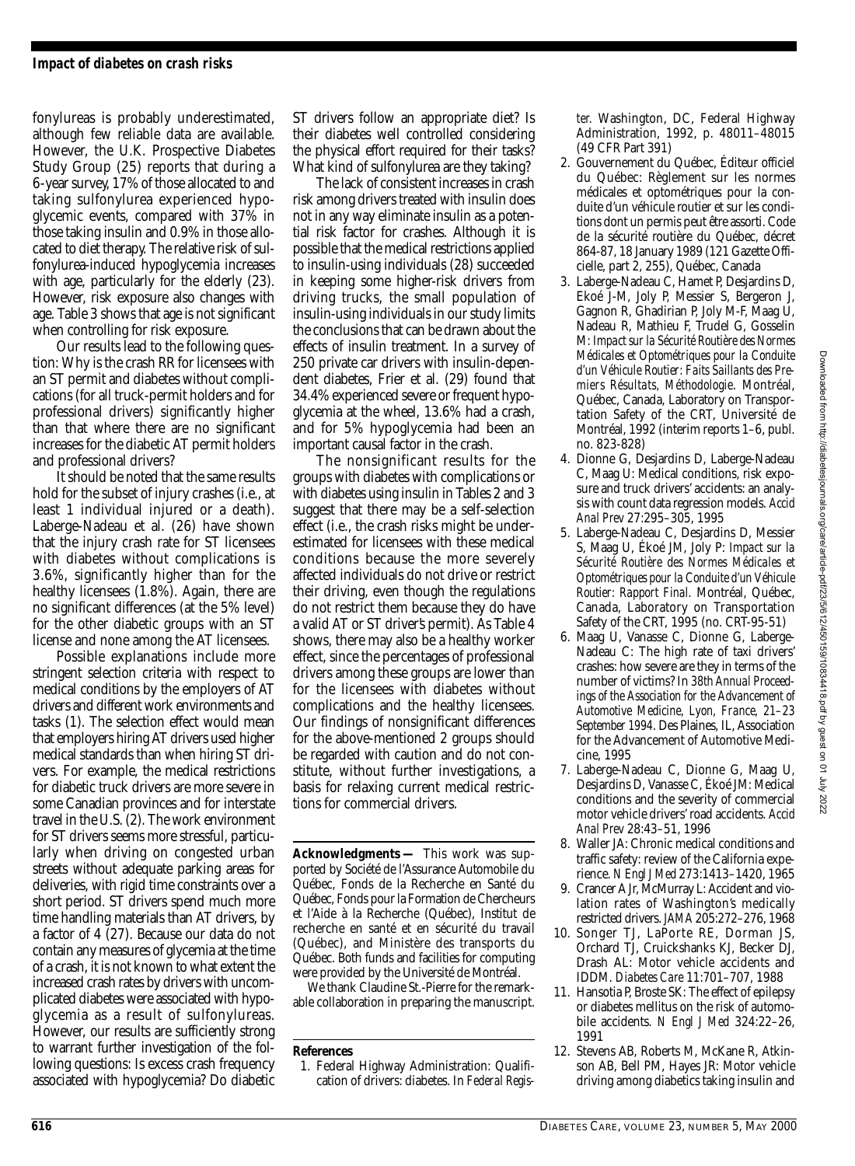fonylureas is probably underestimated, although few reliable data are available. However, the U.K. Prospective Diabetes Study Group (25) reports that during a 6-year survey, 17% of those allocated to and taking sulfonylurea experienced hypoglycemic events, compared with 37% in those taking insulin and 0.9% in those allocated to diet therapy. The relative risk of sulfonylurea-induced hypoglycemia increases with age, particularly for the elderly (23). However, risk exposure also changes with age. Table 3 shows that age is not significant when controlling for risk exposure.

Our results lead to the following question: Why is the crash RR for licensees with an ST permit and diabetes without complications (for all truck-permit holders and for professional drivers) significantly higher than that where there are no significant increases for the diabetic AT permit holders and professional drivers?

It should be noted that the same results hold for the subset of injury crashes (i.e., at least 1 individual injured or a death). Laberge-Nadeau et al. (26) have shown that the injury crash rate for ST licensees with diabetes without complications is 3.6%, significantly higher than for the healthy licensees (1.8%). Again, there are no significant differences (at the 5% level) for the other diabetic groups with an ST license and none among the AT licensees.

Possible explanations include more stringent selection criteria with respect to medical conditions by the employers of AT drivers and different work environments and tasks (1). The selection effect would mean that employers hiring AT drivers used higher medical standards than when hiring ST drivers. For example, the medical restrictions for diabetic truck drivers are more severe in some Canadian provinces and for interstate travel in the U.S. (2). The work environment for ST drivers seems more stressful, particularly when driving on congested urban streets without adequate parking areas for deliveries, with rigid time constraints over a short period. ST drivers spend much more time handling materials than AT drivers, by a factor of 4 (27). Because our data do not contain any measures of glycemia at the time of a crash, it is not known to what extent the increased crash rates by drivers with uncomplicated diabetes were associated with hypoglycemia as a result of sulfonylureas. However, our results are sufficiently strong to warrant further investigation of the following questions: Is excess crash frequency associated with hypoglycemia? Do diabetic ST drivers follow an appropriate diet? Is their diabetes well controlled considering the physical effort required for their tasks? What kind of sulfonylurea are they taking?

The lack of consistent increases in crash risk among drivers treated with insulin does not in any way eliminate insulin as a potential risk factor for crashes. Although it is possible that the medical restrictions applied to insulin-using individuals (28) succeeded in keeping some higher-risk drivers from driving trucks, the small population of insulin-using individuals in our study limits the conclusions that can be drawn about the effects of insulin treatment. In a survey of 250 private car drivers with insulin-dependent diabetes, Frier et al. (29) found that 34.4% experienced severe or frequent hypoglycemia at the wheel, 13.6% had a crash, and for 5% hypoglycemia had been an important causal factor in the crash.

The nonsignificant results for the groups with diabetes with complications or with diabetes using insulin in Tables 2 and 3 suggest that there may be a self-selection effect (i.e., the crash risks might be underestimated for licensees with these medical conditions because the more severely affected individuals do not drive or restrict their driving, even though the regulations do not restrict them because they do have a valid AT or ST driver's permit). As Table 4 shows, there may also be a healthy worker effect, since the percentages of professional drivers among these groups are lower than for the licensees with diabetes without complications and the healthy licensees. Our findings of nonsignificant differences for the above-mentioned 2 groups should be regarded with caution and do not constitute, without further investigations, a basis for relaxing current medical restrictions for commercial drivers.

**Acknowledgments —** This work was supported by Société de l'Assurance Automobile du Québec, Fonds de la Recherche en Santé du Québec, Fonds pour la Formation de Chercheurs et l'Aide à la Recherche (Québec), Institut de recherche en santé et en sécurité du travail (Québec), and Ministère des transports du Québec. Both funds and facilities for computing were provided by the Université de Montréal.

We thank Claudine St.-Pierre for the remarkable collaboration in preparing the manuscript. *ter.* Washington, DC, Federal Highway Administration, 1992, p. 48011–48015 (49 CFR Part 391)

- 2. Gouvernement du Québec, Éditeur officiel du Québec: Règlement sur les normes médicales et optométriques pour la conduite d'un véhicule routier et sur les conditions dont un permis peut être assorti. Code de la sécurité routière du Québec, décret 864-87, 18 January 1989 (121 Gazette Officielle, part 2, 255), Québec, Canada
- 3. Laberge-Nadeau C, Hamet P, Desjardins D, Ekoé J-M, Joly P, Messier S, Bergeron J, Gagnon R, Ghadirian P, Joly M-F, Maag U, Nadeau R, Mathieu F, Trudel G, Gosselin M: *Impact sur la Sécurité Routière des Normes Médicales et Optométriques pour la Conduite d'un Véhicule Routier: Faits Saillants des Premiers Résultats, Méthodologie*. Montréal, Québec, Canada, Laboratory on Transportation Safety of the CRT, Université de Montréal, 1992 (interim reports 1–6, publ. no. 823-828)
- 4. Dionne G, Desjardins D, Laberge-Nadeau C, Maag U: Medical conditions, risk exposure and truck drivers' accidents: an analysis with count data regression models. *Accid Anal Prev* 27:295–305, 1995
- 5. Laberge-Nadeau C, Desjardins D, Messier S, Maag U, Ékoé JM, Joly P: *Impact sur la Sécurité Routière des Normes Médicales et Optométriques pour la Conduite d'un Véhicule Routier: Rapport Final*. Montréal, Québec, Canada, Laboratory on Transportation Safety of the CRT, 1995 (no. CRT-95-51)
- 6. Maag U, Vanasse C, Dionne G, Laberge-Nadeau C: The high rate of taxi drivers' crashes: how severe are they in terms of the number of victims? In *38th Annual Proceedings of the Association for the Advancement of Automotive Medicine, Lyon, France, 21–23 September 1994*. Des Plaines, IL, Association for the Advancement of Automotive Medicine, 1995
- 7. Laberge-Nadeau C, Dionne G, Maag U, Desjardins D, Vanasse C, Ékoé JM: Medical conditions and the severity of commercial motor vehicle drivers' road accidents. *Accid Anal Prev* 28:43–51, 1996
- 8. Waller JA: Chronic medical conditions and traffic safety: review of the California experience. *N Engl J Med* 273:1413–1420, 1965
- 9. Crancer A Jr, McMurray L: Accident and violation rates of Washington's medically restricted drivers. *JAMA* 205:272–276, 1968
- 10. Songer TJ, LaPorte RE, Dorman JS, Orchard TJ, Cruickshanks KJ, Becker DJ, Drash AL: Motor vehicle accidents and IDDM. *Diabetes Care* 11:701–707, 1988
- 11. Hansotia P, Broste SK: The effect of epilepsy or diabetes mellitus on the risk of automobile accidents. *N Engl J Med* 324:22–26, 1991
- 12. Stevens AB, Roberts M, McKane R, Atkinson AB, Bell PM, Hayes JR: Motor vehicle driving among diabetics taking insulin and

**References**

<sup>1.</sup> Federal Highway Administration: Qualification of drivers: diabetes. In *Federal Regis-*